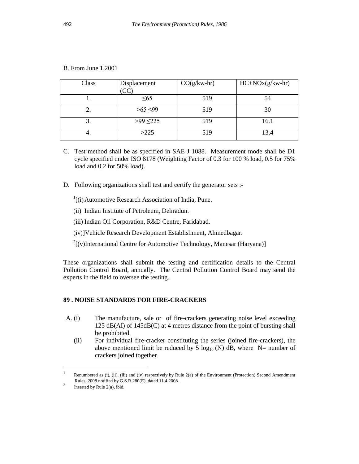| Class | Displacement  | $CO(g/kw-hr)$ | $HC+NOx(g/kw-hr)$ |
|-------|---------------|---------------|-------------------|
|       | $\leq 65$     | 519           | 54                |
| ۷.    | $>65 \leq 99$ | 519           | 30                |
| 3.    | $>99 \le 225$ | 519           | 16.1              |
| 4.    | >225          | 519           | 13.4              |

B. From June 1,2001

- C. Test method shall be as specified in SAE J 1088. Measurement mode shall be D1 cycle specified under ISO 8178 (Weighting Factor of 0.3 for 100 % load, 0.5 for 75% load and 0.2 for 50% load).
- D. Following organizations shall test and certify the generator sets :-
	- $\frac{1}{1}$ [(i) Automotive Research Association of India, Pune.
	- (ii) Indian Institute of Petroleum, Dehradun.
	- (iii) Indian Oil Corporation, R&D Centre, Faridabad.
	- (iv)]Vehicle Research Development Establishment, Ahmedbagar.
	- $2\left[$ (v)International Centre for Automotive Technology, Manesar (Haryana)]

These organizations shall submit the testing and certification details to the Central Pollution Control Board, annually. The Central Pollution Control Board may send the experts in the field to oversee the testing.

## **89 . NOISE STANDARDS FOR FIRE-CRACKERS**

- A. (i) The manufacture, sale or of fire-crackers generating noise level exceeding 125 dB(AI) of 145dB(C) at 4 metres distance from the point of bursting shall be prohibited.
	- (ii) For individual fire-cracker constituting the series (joined fire-crackers), the above mentioned limit be reduced by 5  $log_{10} (N)$  dB, where N= number of crackers joined together.

 $\frac{1}{1}$  Renumbered as (i), (ii), (iii) and (iv) respectively by Rule 2(a) of the Environment (Protection) Second Amendment Rules, 2008 notified by G.S.R.280(E), dated 11.4.2008.

<sup>2</sup> Inserted by Rule 2(a), ibid.